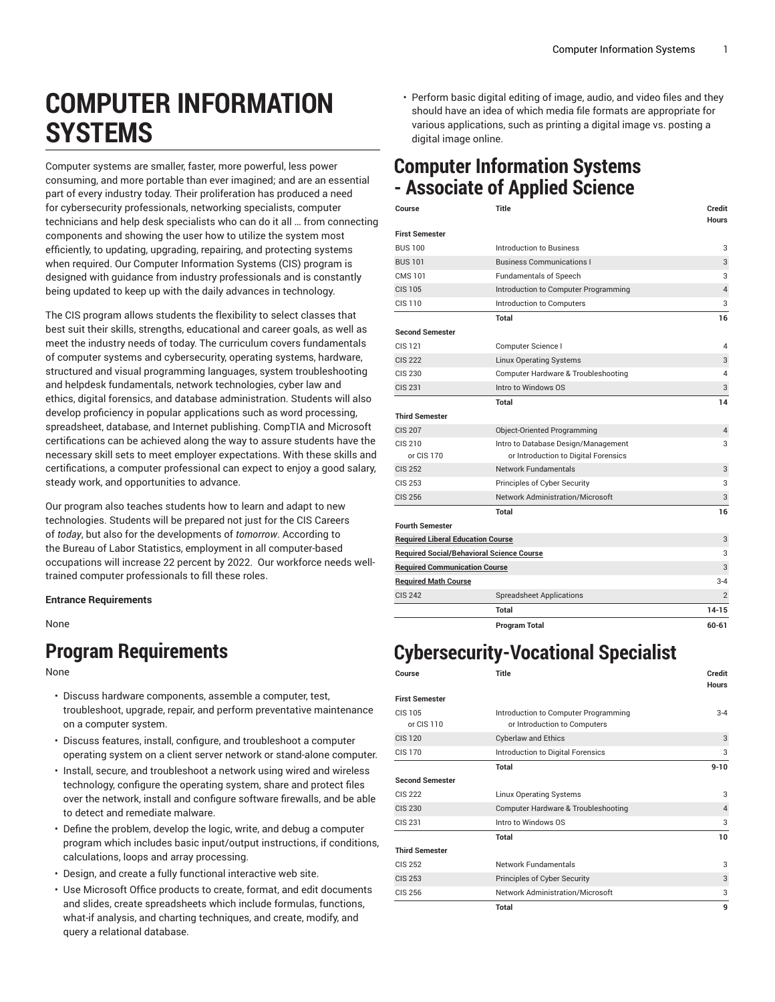# **COMPUTER INFORMATION SYSTEMS**

Computer systems are smaller, faster, more powerful, less power consuming, and more portable than ever imagined; and are an essential part of every industry today. Their proliferation has produced a need for cybersecurity professionals, networking specialists, computer technicians and help desk specialists who can do it all … from connecting components and showing the user how to utilize the system most efficiently, to updating, upgrading, repairing, and protecting systems when required. Our Computer Information Systems (CIS) program is designed with guidance from industry professionals and is constantly being updated to keep up with the daily advances in technology.

The CIS program allows students the flexibility to select classes that best suit their skills, strengths, educational and career goals, as well as meet the industry needs of today. The curriculum covers fundamentals of computer systems and cybersecurity, operating systems, hardware, structured and visual programming languages, system troubleshooting and helpdesk fundamentals, network technologies, cyber law and ethics, digital forensics, and database administration. Students will also develop proficiency in popular applications such as word processing, spreadsheet, database, and Internet publishing. CompTIA and Microsoft certifications can be achieved along the way to assure students have the necessary skill sets to meet employer expectations. With these skills and certifications, a computer professional can expect to enjoy a good salary, steady work, and opportunities to advance.

Our program also teaches students how to learn and adapt to new technologies. Students will be prepared not just for the CIS Careers of *today*, but also for the developments of *tomorrow*. According to the Bureau of Labor Statistics, employment in all computer-based occupations will increase 22 percent by 2022. Our workforce needs welltrained computer professionals to fill these roles.

**Entrance Requirements**

None

### **Program Requirements**

None

- Discuss hardware components, assemble a computer, test, troubleshoot, upgrade, repair, and perform preventative maintenance on a computer system.
- Discuss features, install, configure, and troubleshoot a computer operating system on a client server network or stand-alone computer.
- Install, secure, and troubleshoot a network using wired and wireless technology, configure the operating system, share and protect files over the network, install and configure software firewalls, and be able to detect and remediate malware.
- Define the problem, develop the logic, write, and debug a computer program which includes basic input/output instructions, if conditions, calculations, loops and array processing.
- Design, and create a fully functional interactive web site.
- Use Microsoft Office products to create, format, and edit documents and slides, create spreadsheets which include formulas, functions, what-if analysis, and charting techniques, and create, modify, and query a relational database.

• Perform basic digital editing of image, audio, and video files and they should have an idea of which media file formats are appropriate for various applications, such as printing a digital image vs. posting a digital image online.

### **Computer Information Systems - Associate of Applied Science**

| Course                                           | <b>Title</b>                         | Credit<br><b>Hours</b> |
|--------------------------------------------------|--------------------------------------|------------------------|
| <b>First Semester</b>                            |                                      |                        |
| <b>BUS 100</b>                                   | Introduction to Business             | 3                      |
| <b>BUS 101</b>                                   | <b>Business Communications I</b>     | 3                      |
| CMS 101                                          | <b>Fundamentals of Speech</b>        | 3                      |
| <b>CIS 105</b>                                   | Introduction to Computer Programming | $\overline{4}$         |
| CIS 110                                          | Introduction to Computers            | 3                      |
|                                                  | Total                                | 16                     |
| <b>Second Semester</b>                           |                                      |                        |
| CIS 121                                          | Computer Science I                   | 4                      |
| <b>CIS 222</b>                                   | <b>Linux Operating Systems</b>       | 3                      |
| CIS 230                                          | Computer Hardware & Troubleshooting  | 4                      |
| <b>CIS 231</b>                                   | Intro to Windows OS                  | 3                      |
|                                                  | Total                                | 14                     |
| <b>Third Semester</b>                            |                                      |                        |
| <b>CIS 207</b>                                   | Object-Oriented Programming          | 4                      |
| CIS 210                                          | Intro to Database Design/Management  | 3                      |
| or CIS 170                                       | or Introduction to Digital Forensics |                        |
| <b>CIS 252</b>                                   | <b>Network Fundamentals</b>          | 3                      |
| CIS 253                                          | Principles of Cyber Security         | 3                      |
| <b>CIS 256</b>                                   | Network Administration/Microsoft     | 3                      |
|                                                  | Total                                | 16                     |
| <b>Fourth Semester</b>                           |                                      |                        |
| <b>Required Liberal Education Course</b>         |                                      | 3                      |
| <b>Required Social/Behavioral Science Course</b> |                                      | 3                      |
| <b>Required Communication Course</b>             |                                      | 3                      |
| <b>Required Math Course</b>                      |                                      | $3 - 4$                |
| <b>CIS 242</b>                                   | <b>Spreadsheet Applications</b>      | $\overline{2}$         |
|                                                  | <b>Total</b>                         | $14 - 15$              |
|                                                  | <b>Program Total</b>                 | $60 - 61$              |

## **Cybersecurity-Vocational Specialist**

| Title                                                                | Credit<br><b>Hours</b> |
|----------------------------------------------------------------------|------------------------|
|                                                                      |                        |
| Introduction to Computer Programming<br>or Introduction to Computers | $3 - 4$                |
| <b>Cyberlaw and Ethics</b>                                           | 3                      |
| Introduction to Digital Forensics                                    | 3                      |
| <b>Total</b>                                                         | $9 - 10$               |
|                                                                      |                        |
| <b>Linux Operating Systems</b>                                       | 3                      |
| Computer Hardware & Troubleshooting                                  | $\overline{4}$         |
| Intro to Windows OS                                                  | 3                      |
| <b>Total</b>                                                         | 10                     |
|                                                                      |                        |
| <b>Network Fundamentals</b>                                          | 3                      |
| Principles of Cyber Security                                         | 3                      |
| <b>Network Administration/Microsoft</b>                              | 3                      |
| <b>Total</b>                                                         | 9                      |
|                                                                      |                        |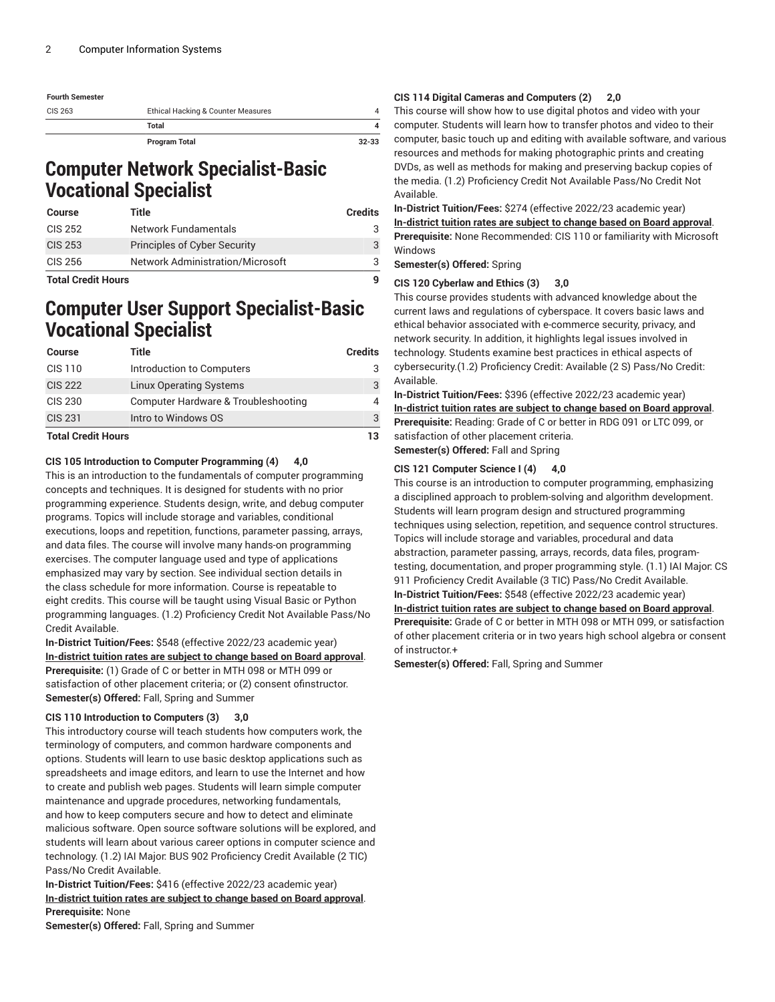| <b>Fourth Semester</b> |                                    |           |
|------------------------|------------------------------------|-----------|
| CIS 263                | Ethical Hacking & Counter Measures |           |
|                        | Total                              |           |
|                        | Program Total                      | $32 - 33$ |

### **Computer Network Specialist-Basic Vocational Specialist**

| Course         | Title                                   | <b>Credits</b> |
|----------------|-----------------------------------------|----------------|
| CIS 252        | Network Fundamentals                    |                |
| <b>CIS 253</b> | <b>Principles of Cyber Security</b>     | 3              |
| CIS 256        | <b>Network Administration/Microsoft</b> |                |
| .<br>.         |                                         |                |

**Total Credit Hours 9**

### **Computer User Support Specialist-Basic Vocational Specialist**

| <b>Course</b>             | Title                               | <b>Credits</b> |
|---------------------------|-------------------------------------|----------------|
| CIS 110                   | Introduction to Computers           | 3              |
| <b>CIS 222</b>            | <b>Linux Operating Systems</b>      | 3              |
| <b>CIS 230</b>            | Computer Hardware & Troubleshooting | 4              |
| <b>CIS 231</b>            | Intro to Windows OS                 | 3              |
| <b>Total Credit Hours</b> |                                     | 13             |

#### **CIS 105 Introduction to Computer Programming (4) 4,0**

This is an introduction to the fundamentals of computer programming concepts and techniques. It is designed for students with no prior programming experience. Students design, write, and debug computer programs. Topics will include storage and variables, conditional executions, loops and repetition, functions, parameter passing, arrays, and data files. The course will involve many hands-on programming exercises. The computer language used and type of applications emphasized may vary by section. See individual section details in the class schedule for more information. Course is repeatable to eight credits. This course will be taught using Visual Basic or Python programming languages. (1.2) Proficiency Credit Not Available Pass/No Credit Available.

**In-District Tuition/Fees:** \$548 (effective 2022/23 academic year) **[In-district](https://elgin.edu/pay-for-college/tuition-fees/) tuition rates are subject to change based on Board approval**. **Prerequisite:** (1) Grade of C or better in MTH 098 or MTH 099 or satisfaction of other placement criteria; or (2) consent ofinstructor. **Semester(s) Offered:** Fall, Spring and Summer

#### **CIS 110 Introduction to Computers (3) 3,0**

This introductory course will teach students how computers work, the terminology of computers, and common hardware components and options. Students will learn to use basic desktop applications such as spreadsheets and image editors, and learn to use the Internet and how to create and publish web pages. Students will learn simple computer maintenance and upgrade procedures, networking fundamentals, and how to keep computers secure and how to detect and eliminate malicious software. Open source software solutions will be explored, and students will learn about various career options in computer science and technology. (1.2) IAI Major: BUS 902 Proficiency Credit Available (2 TIC) Pass/No Credit Available.

**In-District Tuition/Fees:** \$416 (effective 2022/23 academic year) **[In-district](https://elgin.edu/pay-for-college/tuition-fees/) tuition rates are subject to change based on Board approval**. **Prerequisite:** None

**Semester(s) Offered:** Fall, Spring and Summer

#### **CIS 114 Digital Cameras and Computers (2) 2,0**

This course will show how to use digital photos and video with your computer. Students will learn how to transfer photos and video to their computer, basic touch up and editing with available software, and various resources and methods for making photographic prints and creating DVDs, as well as methods for making and preserving backup copies of the media. (1.2) Proficiency Credit Not Available Pass/No Credit Not Available.

**In-District Tuition/Fees:** \$274 (effective 2022/23 academic year) **[In-district](https://elgin.edu/pay-for-college/tuition-fees/) tuition rates are subject to change based on Board approval**. **Prerequisite:** None Recommended: CIS 110 or familiarity with Microsoft Windows

**Semester(s) Offered:** Spring

#### **CIS 120 Cyberlaw and Ethics (3) 3,0**

This course provides students with advanced knowledge about the current laws and regulations of cyberspace. It covers basic laws and ethical behavior associated with e-commerce security, privacy, and network security. In addition, it highlights legal issues involved in technology. Students examine best practices in ethical aspects of cybersecurity.(1.2) Proficiency Credit: Available (2 S) Pass/No Credit: Available.

**In-District Tuition/Fees:** \$396 (effective 2022/23 academic year) **[In-district](https://elgin.edu/pay-for-college/tuition-fees/) tuition rates are subject to change based on Board approval**. **Prerequisite:** Reading: Grade of C or better in RDG 091 or LTC 099, or satisfaction of other placement criteria. **Semester(s) Offered:** Fall and Spring

#### **CIS 121 Computer Science I (4) 4,0**

This course is an introduction to computer programming, emphasizing a disciplined approach to problem-solving and algorithm development. Students will learn program design and structured programming techniques using selection, repetition, and sequence control structures. Topics will include storage and variables, procedural and data abstraction, parameter passing, arrays, records, data files, programtesting, documentation, and proper programming style. (1.1) IAI Major: CS 911 Proficiency Credit Available (3 TIC) Pass/No Credit Available. **In-District Tuition/Fees:** \$548 (effective 2022/23 academic year) **[In-district](https://elgin.edu/pay-for-college/tuition-fees/) tuition rates are subject to change based on Board approval**. **Prerequisite:** Grade of C or better in MTH 098 or MTH 099, or satisfaction of other placement criteria or in two years high school algebra or consent of instructor.+

**Semester(s) Offered:** Fall, Spring and Summer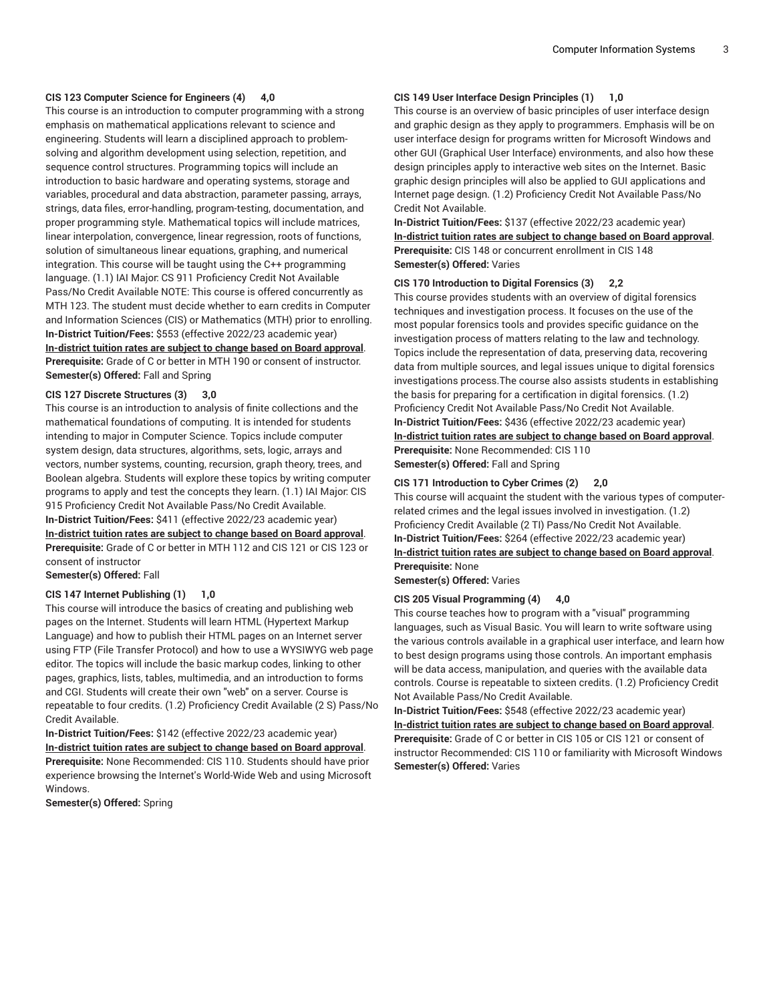#### **CIS 123 Computer Science for Engineers (4) 4,0**

This course is an introduction to computer programming with a strong emphasis on mathematical applications relevant to science and engineering. Students will learn a disciplined approach to problemsolving and algorithm development using selection, repetition, and sequence control structures. Programming topics will include an introduction to basic hardware and operating systems, storage and variables, procedural and data abstraction, parameter passing, arrays, strings, data files, error-handling, program-testing, documentation, and proper programming style. Mathematical topics will include matrices, linear interpolation, convergence, linear regression, roots of functions, solution of simultaneous linear equations, graphing, and numerical integration. This course will be taught using the C++ programming language. (1.1) IAI Major: CS 911 Proficiency Credit Not Available Pass/No Credit Available NOTE: This course is offered concurrently as MTH 123. The student must decide whether to earn credits in Computer and Information Sciences (CIS) or Mathematics (MTH) prior to enrolling. **In-District Tuition/Fees:** \$553 (effective 2022/23 academic year) **[In-district](https://elgin.edu/pay-for-college/tuition-fees/) tuition rates are subject to change based on Board approval**. **Prerequisite:** Grade of C or better in MTH 190 or consent of instructor. **Semester(s) Offered:** Fall and Spring

#### **CIS 127 Discrete Structures (3) 3,0**

This course is an introduction to analysis of finite collections and the mathematical foundations of computing. It is intended for students intending to major in Computer Science. Topics include computer system design, data structures, algorithms, sets, logic, arrays and vectors, number systems, counting, recursion, graph theory, trees, and Boolean algebra. Students will explore these topics by writing computer programs to apply and test the concepts they learn. (1.1) IAI Major: CIS 915 Proficiency Credit Not Available Pass/No Credit Available. **In-District Tuition/Fees:** \$411 (effective 2022/23 academic year) **[In-district](https://elgin.edu/pay-for-college/tuition-fees/) tuition rates are subject to change based on Board approval**. **Prerequisite:** Grade of C or better in MTH 112 and CIS 121 or CIS 123 or consent of instructor **Semester(s) Offered:** Fall

#### **CIS 147 Internet Publishing (1) 1,0**

This course will introduce the basics of creating and publishing web pages on the Internet. Students will learn HTML (Hypertext Markup Language) and how to publish their HTML pages on an Internet server using FTP (File Transfer Protocol) and how to use a WYSIWYG web page editor. The topics will include the basic markup codes, linking to other pages, graphics, lists, tables, multimedia, and an introduction to forms and CGI. Students will create their own "web" on a server. Course is repeatable to four credits. (1.2) Proficiency Credit Available (2 S) Pass/No Credit Available.

**In-District Tuition/Fees:** \$142 (effective 2022/23 academic year) **[In-district](https://elgin.edu/pay-for-college/tuition-fees/) tuition rates are subject to change based on Board approval**. **Prerequisite:** None Recommended: CIS 110. Students should have prior experience browsing the Internet's World-Wide Web and using Microsoft Windows.

**Semester(s) Offered:** Spring

#### **CIS 149 User Interface Design Principles (1) 1,0**

This course is an overview of basic principles of user interface design and graphic design as they apply to programmers. Emphasis will be on user interface design for programs written for Microsoft Windows and other GUI (Graphical User Interface) environments, and also how these design principles apply to interactive web sites on the Internet. Basic graphic design principles will also be applied to GUI applications and Internet page design. (1.2) Proficiency Credit Not Available Pass/No Credit Not Available.

**In-District Tuition/Fees:** \$137 (effective 2022/23 academic year) **[In-district](https://elgin.edu/pay-for-college/tuition-fees/) tuition rates are subject to change based on Board approval**. **Prerequisite:** CIS 148 or concurrent enrollment in CIS 148 **Semester(s) Offered:** Varies

#### **CIS 170 Introduction to Digital Forensics (3) 2,2**

This course provides students with an overview of digital forensics techniques and investigation process. It focuses on the use of the most popular forensics tools and provides specific guidance on the investigation process of matters relating to the law and technology. Topics include the representation of data, preserving data, recovering data from multiple sources, and legal issues unique to digital forensics investigations process.The course also assists students in establishing the basis for preparing for a certification in digital forensics. (1.2) Proficiency Credit Not Available Pass/No Credit Not Available. **In-District Tuition/Fees:** \$436 (effective 2022/23 academic year) **[In-district](https://elgin.edu/pay-for-college/tuition-fees/) tuition rates are subject to change based on Board approval**. **Prerequisite:** None Recommended: CIS 110 **Semester(s) Offered:** Fall and Spring

#### **CIS 171 Introduction to Cyber Crimes (2) 2,0**

This course will acquaint the student with the various types of computerrelated crimes and the legal issues involved in investigation. (1.2) Proficiency Credit Available (2 TI) Pass/No Credit Not Available. **In-District Tuition/Fees:** \$264 (effective 2022/23 academic year) **[In-district](https://elgin.edu/pay-for-college/tuition-fees/) tuition rates are subject to change based on Board approval**. **Prerequisite:** None

**Semester(s) Offered:** Varies

#### **CIS 205 Visual Programming (4) 4,0**

This course teaches how to program with a "visual" programming languages, such as Visual Basic. You will learn to write software using the various controls available in a graphical user interface, and learn how to best design programs using those controls. An important emphasis will be data access, manipulation, and queries with the available data controls. Course is repeatable to sixteen credits. (1.2) Proficiency Credit Not Available Pass/No Credit Available.

**In-District Tuition/Fees:** \$548 (effective 2022/23 academic year) **[In-district](https://elgin.edu/pay-for-college/tuition-fees/) tuition rates are subject to change based on Board approval**. **Prerequisite:** Grade of C or better in CIS 105 or CIS 121 or consent of instructor Recommended: CIS 110 or familiarity with Microsoft Windows **Semester(s) Offered:** Varies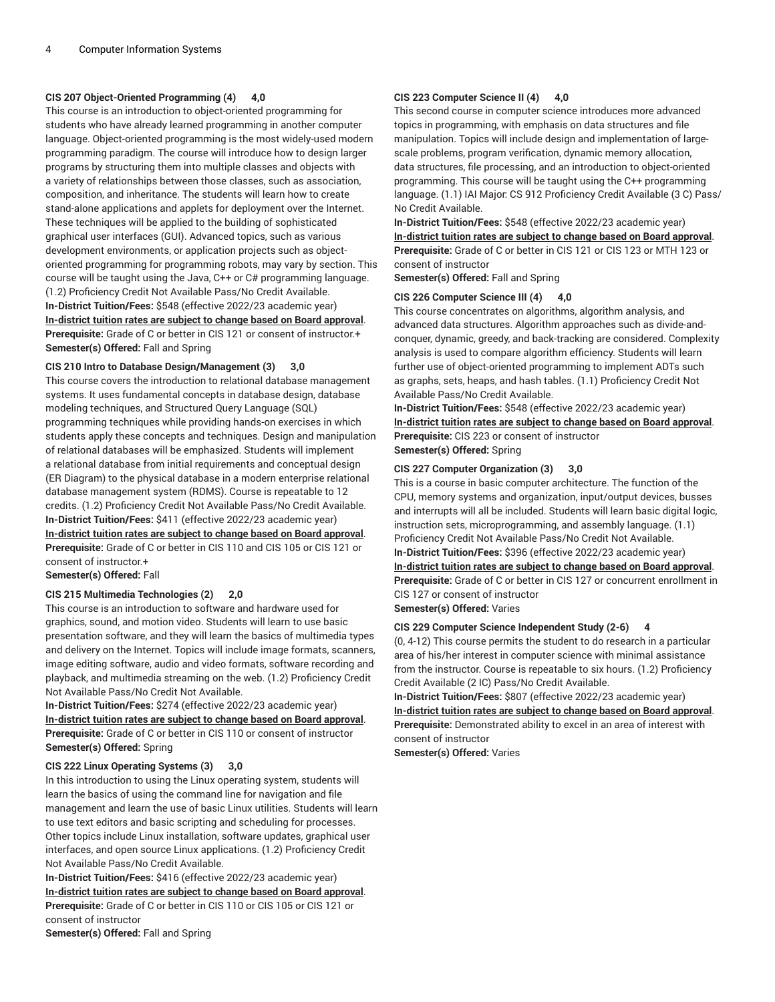#### **CIS 207 Object-Oriented Programming (4) 4,0**

This course is an introduction to object-oriented programming for students who have already learned programming in another computer language. Object-oriented programming is the most widely-used modern programming paradigm. The course will introduce how to design larger programs by structuring them into multiple classes and objects with a variety of relationships between those classes, such as association, composition, and inheritance. The students will learn how to create stand-alone applications and applets for deployment over the Internet. These techniques will be applied to the building of sophisticated graphical user interfaces (GUI). Advanced topics, such as various development environments, or application projects such as objectoriented programming for programming robots, may vary by section. This course will be taught using the Java, C++ or C# programming language. (1.2) Proficiency Credit Not Available Pass/No Credit Available. **In-District Tuition/Fees:** \$548 (effective 2022/23 academic year) **[In-district](https://elgin.edu/pay-for-college/tuition-fees/) tuition rates are subject to change based on Board approval**. **Prerequisite:** Grade of C or better in CIS 121 or consent of instructor.+ **Semester(s) Offered:** Fall and Spring

#### **CIS 210 Intro to Database Design/Management (3) 3,0**

This course covers the introduction to relational database management systems. It uses fundamental concepts in database design, database modeling techniques, and Structured Query Language (SQL) programming techniques while providing hands-on exercises in which students apply these concepts and techniques. Design and manipulation of relational databases will be emphasized. Students will implement a relational database from initial requirements and conceptual design (ER Diagram) to the physical database in a modern enterprise relational database management system (RDMS). Course is repeatable to 12 credits. (1.2) Proficiency Credit Not Available Pass/No Credit Available. **In-District Tuition/Fees:** \$411 (effective 2022/23 academic year) **[In-district](https://elgin.edu/pay-for-college/tuition-fees/) tuition rates are subject to change based on Board approval**. **Prerequisite:** Grade of C or better in CIS 110 and CIS 105 or CIS 121 or consent of instructor.+

**Semester(s) Offered:** Fall

#### **CIS 215 Multimedia Technologies (2) 2,0**

This course is an introduction to software and hardware used for graphics, sound, and motion video. Students will learn to use basic presentation software, and they will learn the basics of multimedia types and delivery on the Internet. Topics will include image formats, scanners, image editing software, audio and video formats, software recording and playback, and multimedia streaming on the web. (1.2) Proficiency Credit Not Available Pass/No Credit Not Available.

**In-District Tuition/Fees:** \$274 (effective 2022/23 academic year) **[In-district](https://elgin.edu/pay-for-college/tuition-fees/) tuition rates are subject to change based on Board approval**. **Prerequisite:** Grade of C or better in CIS 110 or consent of instructor **Semester(s) Offered:** Spring

#### **CIS 222 Linux Operating Systems (3) 3,0**

In this introduction to using the Linux operating system, students will learn the basics of using the command line for navigation and file management and learn the use of basic Linux utilities. Students will learn to use text editors and basic scripting and scheduling for processes. Other topics include Linux installation, software updates, graphical user interfaces, and open source Linux applications. (1.2) Proficiency Credit Not Available Pass/No Credit Available.

**In-District Tuition/Fees:** \$416 (effective 2022/23 academic year) **[In-district](https://elgin.edu/pay-for-college/tuition-fees/) tuition rates are subject to change based on Board approval**. **Prerequisite:** Grade of C or better in CIS 110 or CIS 105 or CIS 121 or consent of instructor

### **CIS 223 Computer Science II (4) 4,0**

This second course in computer science introduces more advanced topics in programming, with emphasis on data structures and file manipulation. Topics will include design and implementation of largescale problems, program verification, dynamic memory allocation, data structures, file processing, and an introduction to object-oriented programming. This course will be taught using the C++ programming language. (1.1) IAI Major: CS 912 Proficiency Credit Available (3 C) Pass/ No Credit Available.

**In-District Tuition/Fees:** \$548 (effective 2022/23 academic year) **[In-district](https://elgin.edu/pay-for-college/tuition-fees/) tuition rates are subject to change based on Board approval**. **Prerequisite:** Grade of C or better in CIS 121 or CIS 123 or MTH 123 or consent of instructor

**Semester(s) Offered:** Fall and Spring

#### **CIS 226 Computer Science III (4) 4,0**

This course concentrates on algorithms, algorithm analysis, and advanced data structures. Algorithm approaches such as divide-andconquer, dynamic, greedy, and back-tracking are considered. Complexity analysis is used to compare algorithm efficiency. Students will learn further use of object-oriented programming to implement ADTs such as graphs, sets, heaps, and hash tables. (1.1) Proficiency Credit Not Available Pass/No Credit Available.

**In-District Tuition/Fees:** \$548 (effective 2022/23 academic year) **[In-district](https://elgin.edu/pay-for-college/tuition-fees/) tuition rates are subject to change based on Board approval**. **Prerequisite:** CIS 223 or consent of instructor **Semester(s) Offered:** Spring

#### **CIS 227 Computer Organization (3) 3,0**

This is a course in basic computer architecture. The function of the CPU, memory systems and organization, input/output devices, busses and interrupts will all be included. Students will learn basic digital logic, instruction sets, microprogramming, and assembly language. (1.1) Proficiency Credit Not Available Pass/No Credit Not Available. **In-District Tuition/Fees:** \$396 (effective 2022/23 academic year) **[In-district](https://elgin.edu/pay-for-college/tuition-fees/) tuition rates are subject to change based on Board approval**. **Prerequisite:** Grade of C or better in CIS 127 or concurrent enrollment in CIS 127 or consent of instructor **Semester(s) Offered:** Varies

#### **CIS 229 Computer Science Independent Study (2-6) 4**

(0, 4-12) This course permits the student to do research in a particular area of his/her interest in computer science with minimal assistance from the instructor. Course is repeatable to six hours. (1.2) Proficiency Credit Available (2 IC) Pass/No Credit Available.

**In-District Tuition/Fees:** \$807 (effective 2022/23 academic year) **[In-district](https://elgin.edu/pay-for-college/tuition-fees/) tuition rates are subject to change based on Board approval**. **Prerequisite:** Demonstrated ability to excel in an area of interest with consent of instructor

**Semester(s) Offered:** Varies

**Semester(s) Offered:** Fall and Spring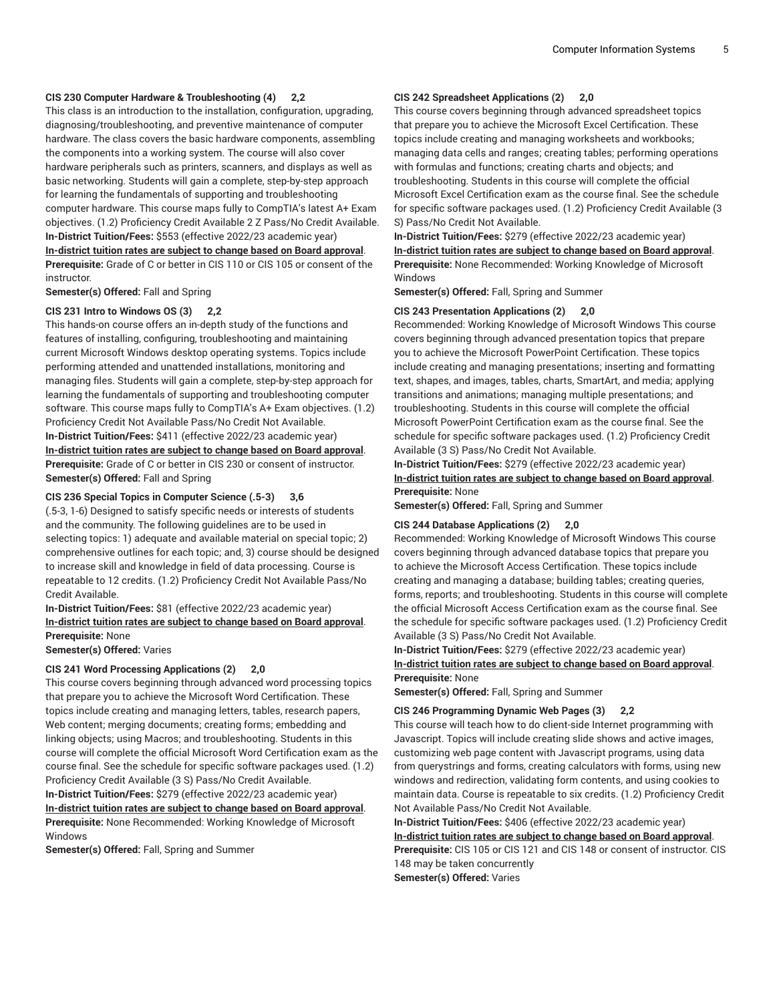#### **CIS 230 Computer Hardware & Troubleshooting (4) 2,2**

This class is an introduction to the installation, configuration, upgrading, diagnosing/troubleshooting, and preventive maintenance of computer hardware. The class covers the basic hardware components, assembling the components into a working system. The course will also cover hardware peripherals such as printers, scanners, and displays as well as basic networking. Students will gain a complete, step-by-step approach for learning the fundamentals of supporting and troubleshooting computer hardware. This course maps fully to CompTIA's latest A+ Exam objectives. (1.2) Proficiency Credit Available 2 Z Pass/No Credit Available. **In-District Tuition/Fees:** \$553 (effective 2022/23 academic year) **[In-district](https://elgin.edu/pay-for-college/tuition-fees/) tuition rates are subject to change based on Board approval**. **Prerequisite:** Grade of C or better in CIS 110 or CIS 105 or consent of the instructor.

**Semester(s) Offered:** Fall and Spring

#### **CIS 231 Intro to Windows OS (3) 2,2**

This hands-on course offers an in-depth study of the functions and features of installing, configuring, troubleshooting and maintaining current Microsoft Windows desktop operating systems. Topics include performing attended and unattended installations, monitoring and managing files. Students will gain a complete, step-by-step approach for learning the fundamentals of supporting and troubleshooting computer software. This course maps fully to CompTIA's A+ Exam objectives. (1.2) Proficiency Credit Not Available Pass/No Credit Not Available. **In-District Tuition/Fees:** \$411 (effective 2022/23 academic year) **[In-district](https://elgin.edu/pay-for-college/tuition-fees/) tuition rates are subject to change based on Board approval**. **Prerequisite:** Grade of C or better in CIS 230 or consent of instructor. **Semester(s) Offered:** Fall and Spring

#### **CIS 236 Special Topics in Computer Science (.5-3) 3,6**

(.5-3, 1-6) Designed to satisfy specific needs or interests of students and the community. The following guidelines are to be used in selecting topics: 1) adequate and available material on special topic; 2) comprehensive outlines for each topic; and, 3) course should be designed to increase skill and knowledge in field of data processing. Course is repeatable to 12 credits. (1.2) Proficiency Credit Not Available Pass/No Credit Available.

#### **In-District Tuition/Fees:** \$81 (effective 2022/23 academic year) **[In-district](https://elgin.edu/pay-for-college/tuition-fees/) tuition rates are subject to change based on Board approval**. **Prerequisite:** None

**Semester(s) Offered:** Varies

#### **CIS 241 Word Processing Applications (2) 2,0**

This course covers beginning through advanced word processing topics that prepare you to achieve the Microsoft Word Certification. These topics include creating and managing letters, tables, research papers, Web content; merging documents; creating forms; embedding and linking objects; using Macros; and troubleshooting. Students in this course will complete the official Microsoft Word Certification exam as the course final. See the schedule for specific software packages used. (1.2) Proficiency Credit Available (3 S) Pass/No Credit Available.

**In-District Tuition/Fees:** \$279 (effective 2022/23 academic year) **[In-district](https://elgin.edu/pay-for-college/tuition-fees/) tuition rates are subject to change based on Board approval**. **Prerequisite:** None Recommended: Working Knowledge of Microsoft Windows

**Semester(s) Offered:** Fall, Spring and Summer

#### **CIS 242 Spreadsheet Applications (2) 2,0**

This course covers beginning through advanced spreadsheet topics that prepare you to achieve the Microsoft Excel Certification. These topics include creating and managing worksheets and workbooks; managing data cells and ranges; creating tables; performing operations with formulas and functions; creating charts and objects; and troubleshooting. Students in this course will complete the official Microsoft Excel Certification exam as the course final. See the schedule for specific software packages used. (1.2) Proficiency Credit Available (3 S) Pass/No Credit Not Available.

**In-District Tuition/Fees:** \$279 (effective 2022/23 academic year) **[In-district](https://elgin.edu/pay-for-college/tuition-fees/) tuition rates are subject to change based on Board approval**. **Prerequisite:** None Recommended: Working Knowledge of Microsoft Windows

**Semester(s) Offered:** Fall, Spring and Summer

#### **CIS 243 Presentation Applications (2) 2,0**

Recommended: Working Knowledge of Microsoft Windows This course covers beginning through advanced presentation topics that prepare you to achieve the Microsoft PowerPoint Certification. These topics include creating and managing presentations; inserting and formatting text, shapes, and images, tables, charts, SmartArt, and media; applying transitions and animations; managing multiple presentations; and troubleshooting. Students in this course will complete the official Microsoft PowerPoint Certification exam as the course final. See the schedule for specific software packages used. (1.2) Proficiency Credit Available (3 S) Pass/No Credit Not Available.

**In-District Tuition/Fees:** \$279 (effective 2022/23 academic year) **[In-district](https://elgin.edu/pay-for-college/tuition-fees/) tuition rates are subject to change based on Board approval**. **Prerequisite:** None

**Semester(s) Offered:** Fall, Spring and Summer

#### **CIS 244 Database Applications (2) 2,0**

Recommended: Working Knowledge of Microsoft Windows This course covers beginning through advanced database topics that prepare you to achieve the Microsoft Access Certification. These topics include creating and managing a database; building tables; creating queries, forms, reports; and troubleshooting. Students in this course will complete the official Microsoft Access Certification exam as the course final. See the schedule for specific software packages used. (1.2) Proficiency Credit Available (3 S) Pass/No Credit Not Available.

**In-District Tuition/Fees:** \$279 (effective 2022/23 academic year) **[In-district](https://elgin.edu/pay-for-college/tuition-fees/) tuition rates are subject to change based on Board approval**. **Prerequisite:** None

**Semester(s) Offered:** Fall, Spring and Summer

#### **CIS 246 Programming Dynamic Web Pages (3) 2,2**

This course will teach how to do client-side Internet programming with Javascript. Topics will include creating slide shows and active images, customizing web page content with Javascript programs, using data from querystrings and forms, creating calculators with forms, using new windows and redirection, validating form contents, and using cookies to maintain data. Course is repeatable to six credits. (1.2) Proficiency Credit Not Available Pass/No Credit Not Available.

**In-District Tuition/Fees:** \$406 (effective 2022/23 academic year) **[In-district](https://elgin.edu/pay-for-college/tuition-fees/) tuition rates are subject to change based on Board approval**. **Prerequisite:** CIS 105 or CIS 121 and CIS 148 or consent of instructor. CIS 148 may be taken concurrently

**Semester(s) Offered:** Varies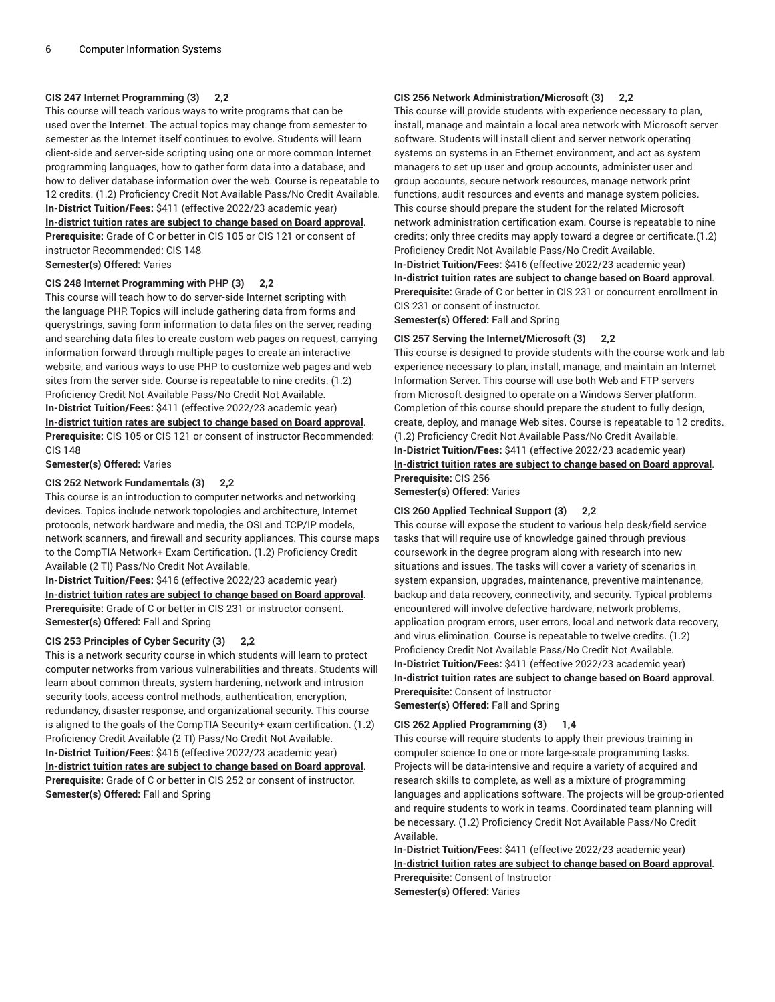#### **CIS 247 Internet Programming (3) 2,2**

This course will teach various ways to write programs that can be used over the Internet. The actual topics may change from semester to semester as the Internet itself continues to evolve. Students will learn client-side and server-side scripting using one or more common Internet programming languages, how to gather form data into a database, and how to deliver database information over the web. Course is repeatable to 12 credits. (1.2) Proficiency Credit Not Available Pass/No Credit Available. **In-District Tuition/Fees:** \$411 (effective 2022/23 academic year) **[In-district](https://elgin.edu/pay-for-college/tuition-fees/) tuition rates are subject to change based on Board approval**. **Prerequisite:** Grade of C or better in CIS 105 or CIS 121 or consent of instructor Recommended: CIS 148 **Semester(s) Offered:** Varies

#### **CIS 248 Internet Programming with PHP (3) 2,2**

This course will teach how to do server-side Internet scripting with the language PHP. Topics will include gathering data from forms and querystrings, saving form information to data files on the server, reading and searching data files to create custom web pages on request, carrying information forward through multiple pages to create an interactive website, and various ways to use PHP to customize web pages and web sites from the server side. Course is repeatable to nine credits. (1.2) Proficiency Credit Not Available Pass/No Credit Not Available. **In-District Tuition/Fees:** \$411 (effective 2022/23 academic year) **[In-district](https://elgin.edu/pay-for-college/tuition-fees/) tuition rates are subject to change based on Board approval**. **Prerequisite:** CIS 105 or CIS 121 or consent of instructor Recommended: CIS 148

**Semester(s) Offered:** Varies

#### **CIS 252 Network Fundamentals (3) 2,2**

This course is an introduction to computer networks and networking devices. Topics include network topologies and architecture, Internet protocols, network hardware and media, the OSI and TCP/IP models, network scanners, and firewall and security appliances. This course maps to the CompTIA Network+ Exam Certification. (1.2) Proficiency Credit Available (2 TI) Pass/No Credit Not Available.

**In-District Tuition/Fees:** \$416 (effective 2022/23 academic year) **[In-district](https://elgin.edu/pay-for-college/tuition-fees/) tuition rates are subject to change based on Board approval**. **Prerequisite:** Grade of C or better in CIS 231 or instructor consent. **Semester(s) Offered:** Fall and Spring

#### **CIS 253 Principles of Cyber Security (3) 2,2**

This is a network security course in which students will learn to protect computer networks from various vulnerabilities and threats. Students will learn about common threats, system hardening, network and intrusion security tools, access control methods, authentication, encryption, redundancy, disaster response, and organizational security. This course is aligned to the goals of the CompTIA Security+ exam certification. (1.2) Proficiency Credit Available (2 TI) Pass/No Credit Not Available. **In-District Tuition/Fees:** \$416 (effective 2022/23 academic year) **[In-district](https://elgin.edu/pay-for-college/tuition-fees/) tuition rates are subject to change based on Board approval**. **Prerequisite:** Grade of C or better in CIS 252 or consent of instructor. **Semester(s) Offered:** Fall and Spring

#### **CIS 256 Network Administration/Microsoft (3) 2,2**

This course will provide students with experience necessary to plan, install, manage and maintain a local area network with Microsoft server software. Students will install client and server network operating systems on systems in an Ethernet environment, and act as system managers to set up user and group accounts, administer user and group accounts, secure network resources, manage network print functions, audit resources and events and manage system policies. This course should prepare the student for the related Microsoft network administration certification exam. Course is repeatable to nine credits; only three credits may apply toward a degree or certificate.(1.2) Proficiency Credit Not Available Pass/No Credit Available. **In-District Tuition/Fees:** \$416 (effective 2022/23 academic year) **[In-district](https://elgin.edu/pay-for-college/tuition-fees/) tuition rates are subject to change based on Board approval**. **Prerequisite:** Grade of C or better in CIS 231 or concurrent enrollment in CIS 231 or consent of instructor.

**Semester(s) Offered:** Fall and Spring

#### **CIS 257 Serving the Internet/Microsoft (3) 2,2**

This course is designed to provide students with the course work and lab experience necessary to plan, install, manage, and maintain an Internet Information Server. This course will use both Web and FTP servers from Microsoft designed to operate on a Windows Server platform. Completion of this course should prepare the student to fully design, create, deploy, and manage Web sites. Course is repeatable to 12 credits. (1.2) Proficiency Credit Not Available Pass/No Credit Available. **In-District Tuition/Fees:** \$411 (effective 2022/23 academic year) **[In-district](https://elgin.edu/pay-for-college/tuition-fees/) tuition rates are subject to change based on Board approval**. **Prerequisite:** CIS 256

**Semester(s) Offered:** Varies

#### **CIS 260 Applied Technical Support (3) 2,2**

This course will expose the student to various help desk/field service tasks that will require use of knowledge gained through previous coursework in the degree program along with research into new situations and issues. The tasks will cover a variety of scenarios in system expansion, upgrades, maintenance, preventive maintenance, backup and data recovery, connectivity, and security. Typical problems encountered will involve defective hardware, network problems, application program errors, user errors, local and network data recovery, and virus elimination. Course is repeatable to twelve credits. (1.2) Proficiency Credit Not Available Pass/No Credit Not Available. **In-District Tuition/Fees:** \$411 (effective 2022/23 academic year) **[In-district](https://elgin.edu/pay-for-college/tuition-fees/) tuition rates are subject to change based on Board approval**. **Prerequisite:** Consent of Instructor **Semester(s) Offered:** Fall and Spring

#### **CIS 262 Applied Programming (3) 1,4**

This course will require students to apply their previous training in computer science to one or more large-scale programming tasks. Projects will be data-intensive and require a variety of acquired and research skills to complete, as well as a mixture of programming languages and applications software. The projects will be group-oriented and require students to work in teams. Coordinated team planning will be necessary. (1.2) Proficiency Credit Not Available Pass/No Credit Available.

**In-District Tuition/Fees:** \$411 (effective 2022/23 academic year) **[In-district](https://elgin.edu/pay-for-college/tuition-fees/) tuition rates are subject to change based on Board approval**. **Prerequisite:** Consent of Instructor **Semester(s) Offered:** Varies